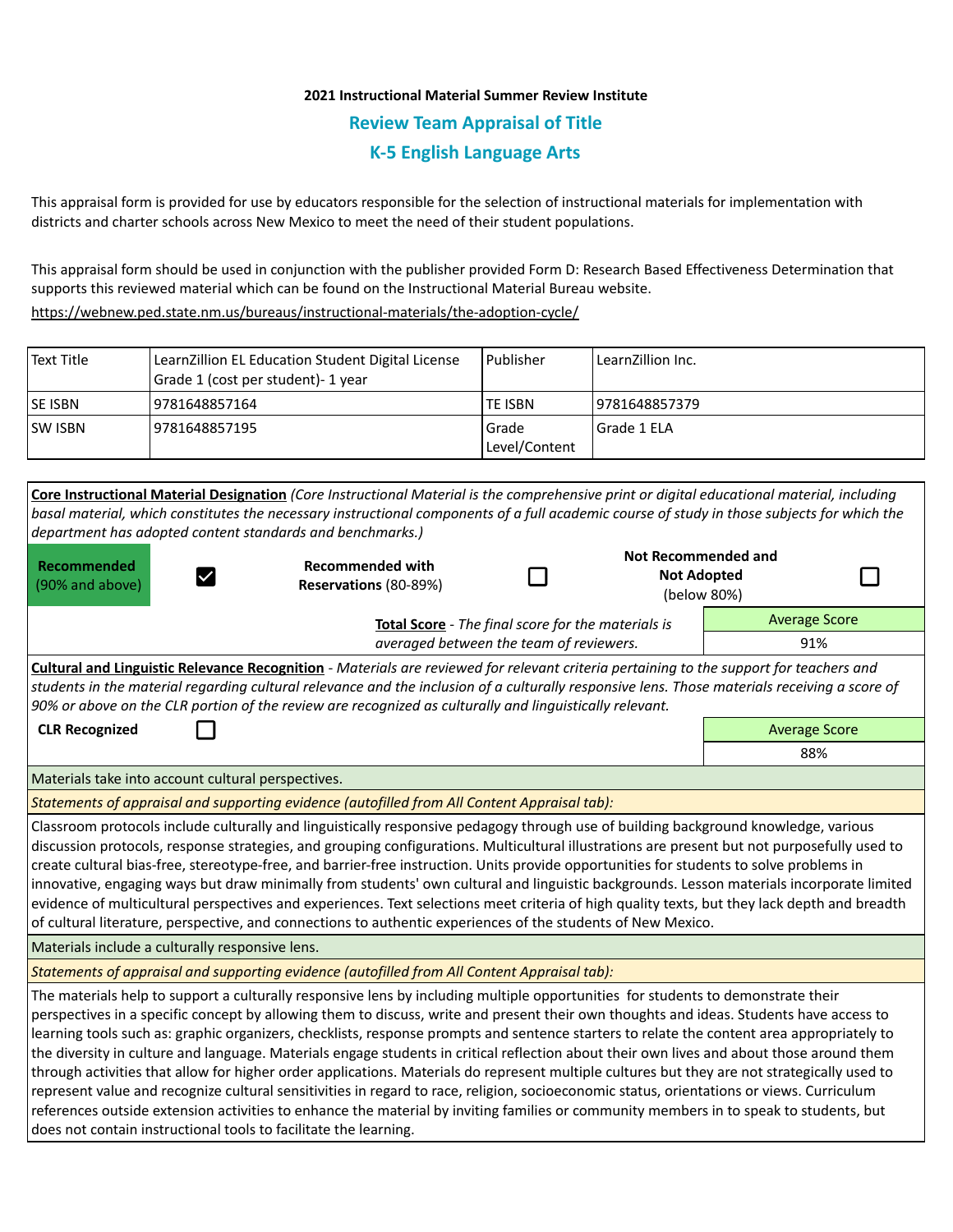## **2021 Instructional Material Summer Review Institute Review Team Appraisal of Title K-5 English Language Arts**

This appraisal form is provided for use by educators responsible for the selection of instructional materials for implementation with districts and charter schools across New Mexico to meet the need of their student populations.

This appraisal form should be used in conjunction with the publisher provided Form D: Research Based Effectiveness Determination that supports this reviewed material which can be found on the Instructional Material Bureau website.

<https://webnew.ped.state.nm.us/bureaus/instructional-materials/the-adoption-cycle/>

| Text Title     | LearnZillion EL Education Student Digital License<br>Grade 1 (cost per student)- 1 year | l Publisher              | LearnZillion Inc. |
|----------------|-----------------------------------------------------------------------------------------|--------------------------|-------------------|
| <b>SE ISBN</b> | 9781648857164                                                                           | TE ISBN                  | 19781648857379    |
| <b>SW ISBN</b> | 9781648857195                                                                           | l Grade<br>Level/Content | l Grade 1 ELA     |

|                                                                                                                                                                                                                                                                                                                                                                                                                                                                                                                                                                                                                                                                                                                                                                                                                                             | Core Instructional Material Designation (Core Instructional Material is the comprehensive print or digital educational material, including                                                                                                                                                                                                                                                                                                                                                                                                                                                                                                                                                                                                                                                                                                                                                                                                                                                                    |                                         |  |                                                                 |  |  |  |
|---------------------------------------------------------------------------------------------------------------------------------------------------------------------------------------------------------------------------------------------------------------------------------------------------------------------------------------------------------------------------------------------------------------------------------------------------------------------------------------------------------------------------------------------------------------------------------------------------------------------------------------------------------------------------------------------------------------------------------------------------------------------------------------------------------------------------------------------|---------------------------------------------------------------------------------------------------------------------------------------------------------------------------------------------------------------------------------------------------------------------------------------------------------------------------------------------------------------------------------------------------------------------------------------------------------------------------------------------------------------------------------------------------------------------------------------------------------------------------------------------------------------------------------------------------------------------------------------------------------------------------------------------------------------------------------------------------------------------------------------------------------------------------------------------------------------------------------------------------------------|-----------------------------------------|--|-----------------------------------------------------------------|--|--|--|
|                                                                                                                                                                                                                                                                                                                                                                                                                                                                                                                                                                                                                                                                                                                                                                                                                                             | basal material, which constitutes the necessary instructional components of a full academic course of study in those subjects for which the                                                                                                                                                                                                                                                                                                                                                                                                                                                                                                                                                                                                                                                                                                                                                                                                                                                                   |                                         |  |                                                                 |  |  |  |
| department has adopted content standards and benchmarks.)                                                                                                                                                                                                                                                                                                                                                                                                                                                                                                                                                                                                                                                                                                                                                                                   |                                                                                                                                                                                                                                                                                                                                                                                                                                                                                                                                                                                                                                                                                                                                                                                                                                                                                                                                                                                                               |                                         |  |                                                                 |  |  |  |
| <b>Recommended</b><br>$\checkmark$<br>(90% and above)                                                                                                                                                                                                                                                                                                                                                                                                                                                                                                                                                                                                                                                                                                                                                                                       | <b>Recommended with</b><br>Reservations (80-89%)                                                                                                                                                                                                                                                                                                                                                                                                                                                                                                                                                                                                                                                                                                                                                                                                                                                                                                                                                              |                                         |  | <b>Not Recommended and</b><br><b>Not Adopted</b><br>(below 80%) |  |  |  |
|                                                                                                                                                                                                                                                                                                                                                                                                                                                                                                                                                                                                                                                                                                                                                                                                                                             | Total Score - The final score for the materials is                                                                                                                                                                                                                                                                                                                                                                                                                                                                                                                                                                                                                                                                                                                                                                                                                                                                                                                                                            |                                         |  | <b>Average Score</b>                                            |  |  |  |
|                                                                                                                                                                                                                                                                                                                                                                                                                                                                                                                                                                                                                                                                                                                                                                                                                                             |                                                                                                                                                                                                                                                                                                                                                                                                                                                                                                                                                                                                                                                                                                                                                                                                                                                                                                                                                                                                               | averaged between the team of reviewers. |  | 91%                                                             |  |  |  |
|                                                                                                                                                                                                                                                                                                                                                                                                                                                                                                                                                                                                                                                                                                                                                                                                                                             | Cultural and Linguistic Relevance Recognition - Materials are reviewed for relevant criteria pertaining to the support for teachers and<br>students in the material regarding cultural relevance and the inclusion of a culturally responsive lens. Those materials receiving a score of<br>90% or above on the CLR portion of the review are recognized as culturally and linguistically relevant.                                                                                                                                                                                                                                                                                                                                                                                                                                                                                                                                                                                                           |                                         |  |                                                                 |  |  |  |
| <b>CLR Recognized</b>                                                                                                                                                                                                                                                                                                                                                                                                                                                                                                                                                                                                                                                                                                                                                                                                                       |                                                                                                                                                                                                                                                                                                                                                                                                                                                                                                                                                                                                                                                                                                                                                                                                                                                                                                                                                                                                               |                                         |  | <b>Average Score</b>                                            |  |  |  |
|                                                                                                                                                                                                                                                                                                                                                                                                                                                                                                                                                                                                                                                                                                                                                                                                                                             |                                                                                                                                                                                                                                                                                                                                                                                                                                                                                                                                                                                                                                                                                                                                                                                                                                                                                                                                                                                                               |                                         |  | 88%                                                             |  |  |  |
| Materials take into account cultural perspectives.                                                                                                                                                                                                                                                                                                                                                                                                                                                                                                                                                                                                                                                                                                                                                                                          |                                                                                                                                                                                                                                                                                                                                                                                                                                                                                                                                                                                                                                                                                                                                                                                                                                                                                                                                                                                                               |                                         |  |                                                                 |  |  |  |
| Statements of appraisal and supporting evidence (autofilled from All Content Appraisal tab):                                                                                                                                                                                                                                                                                                                                                                                                                                                                                                                                                                                                                                                                                                                                                |                                                                                                                                                                                                                                                                                                                                                                                                                                                                                                                                                                                                                                                                                                                                                                                                                                                                                                                                                                                                               |                                         |  |                                                                 |  |  |  |
| Classroom protocols include culturally and linguistically responsive pedagogy through use of building background knowledge, various<br>discussion protocols, response strategies, and grouping configurations. Multicultural illustrations are present but not purposefully used to<br>create cultural bias-free, stereotype-free, and barrier-free instruction. Units provide opportunities for students to solve problems in<br>innovative, engaging ways but draw minimally from students' own cultural and linguistic backgrounds. Lesson materials incorporate limited<br>evidence of multicultural perspectives and experiences. Text selections meet criteria of high quality texts, but they lack depth and breadth<br>of cultural literature, perspective, and connections to authentic experiences of the students of New Mexico. |                                                                                                                                                                                                                                                                                                                                                                                                                                                                                                                                                                                                                                                                                                                                                                                                                                                                                                                                                                                                               |                                         |  |                                                                 |  |  |  |
| Materials include a culturally responsive lens.                                                                                                                                                                                                                                                                                                                                                                                                                                                                                                                                                                                                                                                                                                                                                                                             |                                                                                                                                                                                                                                                                                                                                                                                                                                                                                                                                                                                                                                                                                                                                                                                                                                                                                                                                                                                                               |                                         |  |                                                                 |  |  |  |
| Statements of appraisal and supporting evidence (autofilled from All Content Appraisal tab):                                                                                                                                                                                                                                                                                                                                                                                                                                                                                                                                                                                                                                                                                                                                                |                                                                                                                                                                                                                                                                                                                                                                                                                                                                                                                                                                                                                                                                                                                                                                                                                                                                                                                                                                                                               |                                         |  |                                                                 |  |  |  |
| does not contain instructional tools to facilitate the learning.                                                                                                                                                                                                                                                                                                                                                                                                                                                                                                                                                                                                                                                                                                                                                                            | The materials help to support a culturally responsive lens by including multiple opportunities for students to demonstrate their<br>perspectives in a specific concept by allowing them to discuss, write and present their own thoughts and ideas. Students have access to<br>learning tools such as: graphic organizers, checklists, response prompts and sentence starters to relate the content area appropriately to<br>the diversity in culture and language. Materials engage students in critical reflection about their own lives and about those around them<br>through activities that allow for higher order applications. Materials do represent multiple cultures but they are not strategically used to<br>represent value and recognize cultural sensitivities in regard to race, religion, socioeconomic status, orientations or views. Curriculum<br>references outside extension activities to enhance the material by inviting families or community members in to speak to students, but |                                         |  |                                                                 |  |  |  |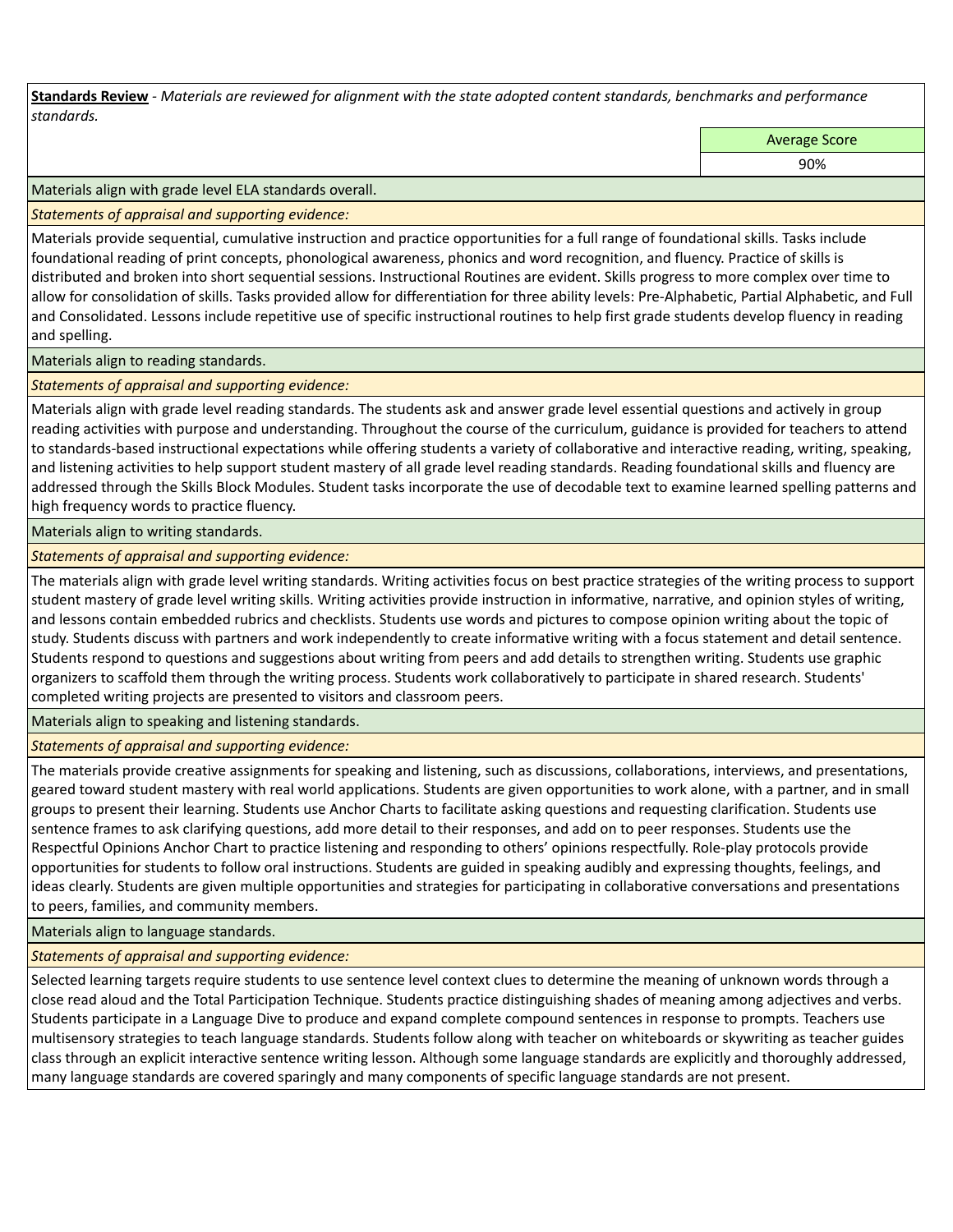**Standards Review** *- Materials are reviewed for alignment with the state adopted content standards, benchmarks and performance standards.*

Average Score

90%

Materials align with grade level ELA standards overall.

*Statements of appraisal and supporting evidence:* 

Materials provide sequential, cumulative instruction and practice opportunities for a full range of foundational skills. Tasks include foundational reading of print concepts, phonological awareness, phonics and word recognition, and fluency. Practice of skills is distributed and broken into short sequential sessions. Instructional Routines are evident. Skills progress to more complex over time to allow for consolidation of skills. Tasks provided allow for differentiation for three ability levels: Pre-Alphabetic, Partial Alphabetic, and Full and Consolidated. Lessons include repetitive use of specific instructional routines to help first grade students develop fluency in reading and spelling.

Materials align to reading standards.

*Statements of appraisal and supporting evidence:* 

Materials align with grade level reading standards. The students ask and answer grade level essential questions and actively in group reading activities with purpose and understanding. Throughout the course of the curriculum, guidance is provided for teachers to attend to standards-based instructional expectations while offering students a variety of collaborative and interactive reading, writing, speaking, and listening activities to help support student mastery of all grade level reading standards. Reading foundational skills and fluency are addressed through the Skills Block Modules. Student tasks incorporate the use of decodable text to examine learned spelling patterns and high frequency words to practice fluency.

Materials align to writing standards.

*Statements of appraisal and supporting evidence:* 

The materials align with grade level writing standards. Writing activities focus on best practice strategies of the writing process to support student mastery of grade level writing skills. Writing activities provide instruction in informative, narrative, and opinion styles of writing, and lessons contain embedded rubrics and checklists. Students use words and pictures to compose opinion writing about the topic of study. Students discuss with partners and work independently to create informative writing with a focus statement and detail sentence. Students respond to questions and suggestions about writing from peers and add details to strengthen writing. Students use graphic organizers to scaffold them through the writing process. Students work collaboratively to participate in shared research. Students' completed writing projects are presented to visitors and classroom peers.

Materials align to speaking and listening standards.

*Statements of appraisal and supporting evidence:* 

The materials provide creative assignments for speaking and listening, such as discussions, collaborations, interviews, and presentations, geared toward student mastery with real world applications. Students are given opportunities to work alone, with a partner, and in small groups to present their learning. Students use Anchor Charts to facilitate asking questions and requesting clarification. Students use sentence frames to ask clarifying questions, add more detail to their responses, and add on to peer responses. Students use the Respectful Opinions Anchor Chart to practice listening and responding to others' opinions respectfully. Role-play protocols provide opportunities for students to follow oral instructions. Students are guided in speaking audibly and expressing thoughts, feelings, and ideas clearly. Students are given multiple opportunities and strategies for participating in collaborative conversations and presentations to peers, families, and community members.

Materials align to language standards.

*Statements of appraisal and supporting evidence:* 

Selected learning targets require students to use sentence level context clues to determine the meaning of unknown words through a close read aloud and the Total Participation Technique. Students practice distinguishing shades of meaning among adjectives and verbs. Students participate in a Language Dive to produce and expand complete compound sentences in response to prompts. Teachers use multisensory strategies to teach language standards. Students follow along with teacher on whiteboards or skywriting as teacher guides class through an explicit interactive sentence writing lesson. Although some language standards are explicitly and thoroughly addressed, many language standards are covered sparingly and many components of specific language standards are not present.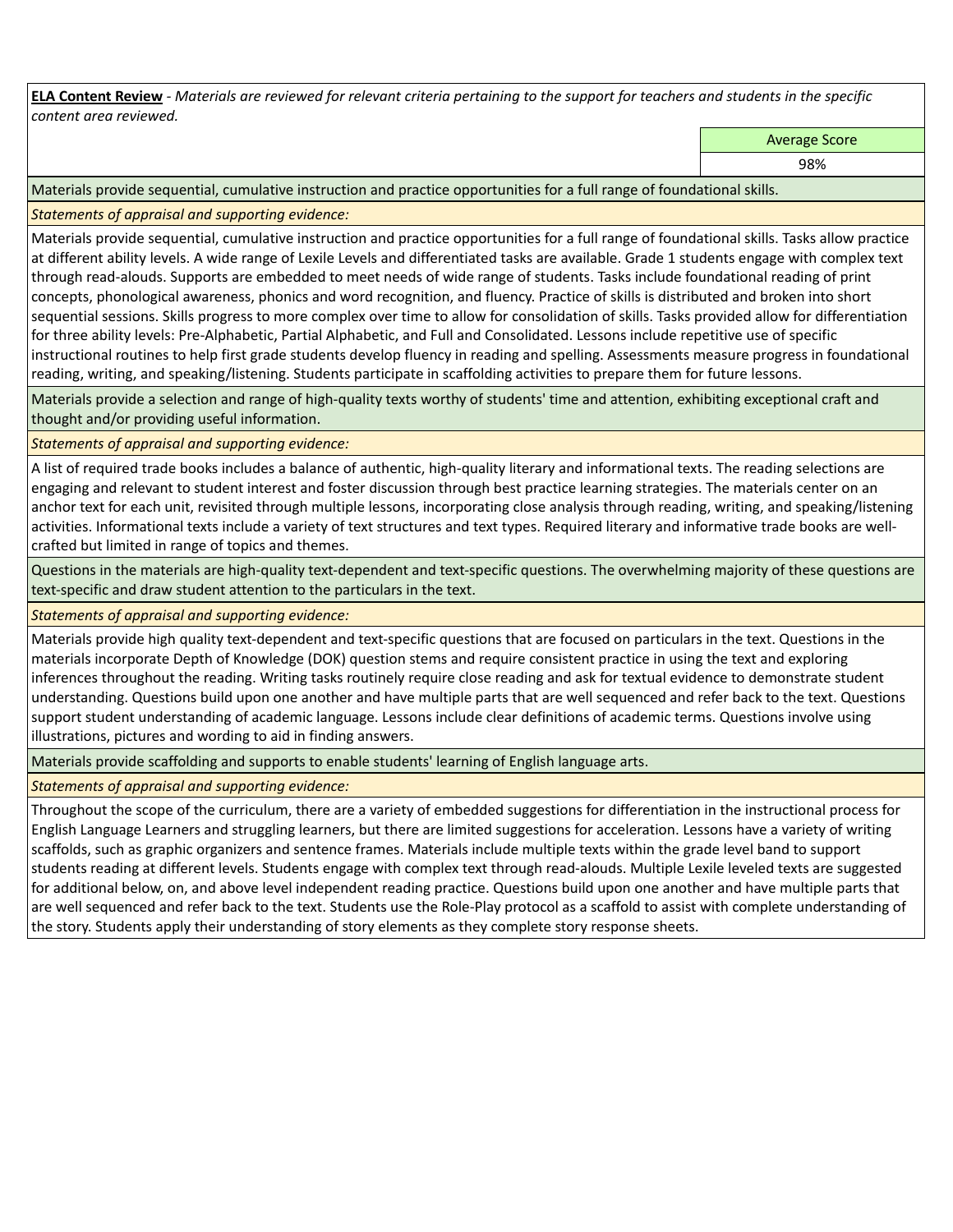**ELA Content Review** *- Materials are reviewed for relevant criteria pertaining to the support for teachers and students in the specific content area reviewed.*

Average Score

98%

Materials provide sequential, cumulative instruction and practice opportunities for a full range of foundational skills.

*Statements of appraisal and supporting evidence:* 

Materials provide sequential, cumulative instruction and practice opportunities for a full range of foundational skills. Tasks allow practice at different ability levels. A wide range of Lexile Levels and differentiated tasks are available. Grade 1 students engage with complex text through read-alouds. Supports are embedded to meet needs of wide range of students. Tasks include foundational reading of print concepts, phonological awareness, phonics and word recognition, and fluency. Practice of skills is distributed and broken into short sequential sessions. Skills progress to more complex over time to allow for consolidation of skills. Tasks provided allow for differentiation for three ability levels: Pre-Alphabetic, Partial Alphabetic, and Full and Consolidated. Lessons include repetitive use of specific instructional routines to help first grade students develop fluency in reading and spelling. Assessments measure progress in foundational reading, writing, and speaking/listening. Students participate in scaffolding activities to prepare them for future lessons.

Materials provide a selection and range of high-quality texts worthy of students' time and attention, exhibiting exceptional craft and thought and/or providing useful information.

*Statements of appraisal and supporting evidence:* 

A list of required trade books includes a balance of authentic, high-quality literary and informational texts. The reading selections are engaging and relevant to student interest and foster discussion through best practice learning strategies. The materials center on an anchor text for each unit, revisited through multiple lessons, incorporating close analysis through reading, writing, and speaking/listening activities. Informational texts include a variety of text structures and text types. Required literary and informative trade books are wellcrafted but limited in range of topics and themes.

Questions in the materials are high-quality text-dependent and text-specific questions. The overwhelming majority of these questions are text-specific and draw student attention to the particulars in the text.

*Statements of appraisal and supporting evidence:* 

Materials provide high quality text-dependent and text-specific questions that are focused on particulars in the text. Questions in the materials incorporate Depth of Knowledge (DOK) question stems and require consistent practice in using the text and exploring inferences throughout the reading. Writing tasks routinely require close reading and ask for textual evidence to demonstrate student understanding. Questions build upon one another and have multiple parts that are well sequenced and refer back to the text. Questions support student understanding of academic language. Lessons include clear definitions of academic terms. Questions involve using illustrations, pictures and wording to aid in finding answers.

Materials provide scaffolding and supports to enable students' learning of English language arts.

*Statements of appraisal and supporting evidence:* 

Throughout the scope of the curriculum, there are a variety of embedded suggestions for differentiation in the instructional process for English Language Learners and struggling learners, but there are limited suggestions for acceleration. Lessons have a variety of writing scaffolds, such as graphic organizers and sentence frames. Materials include multiple texts within the grade level band to support students reading at different levels. Students engage with complex text through read-alouds. Multiple Lexile leveled texts are suggested for additional below, on, and above level independent reading practice. Questions build upon one another and have multiple parts that are well sequenced and refer back to the text. Students use the Role-Play protocol as a scaffold to assist with complete understanding of the story. Students apply their understanding of story elements as they complete story response sheets.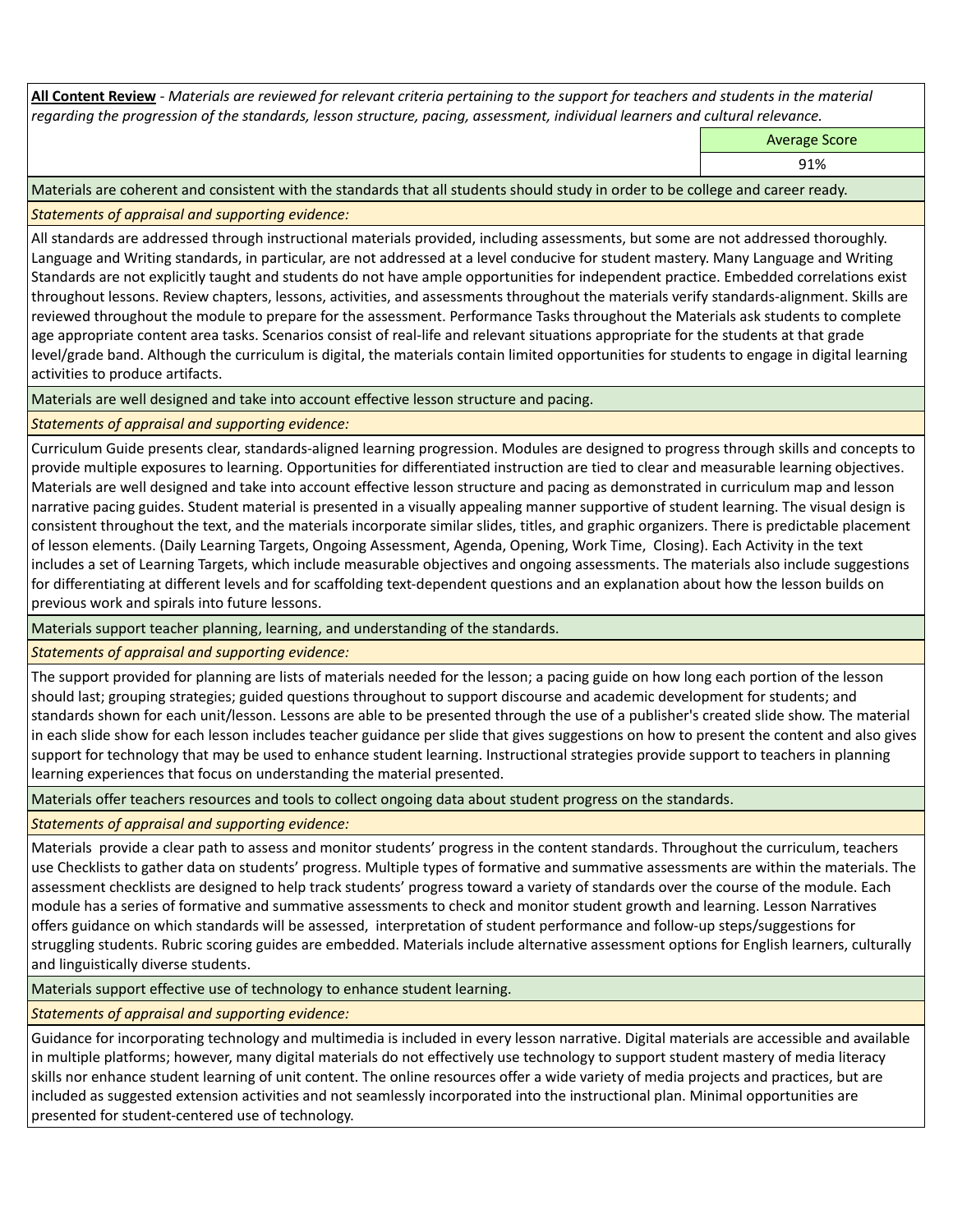**All Content Review** *- Materials are reviewed for relevant criteria pertaining to the support for teachers and students in the material regarding the progression of the standards, lesson structure, pacing, assessment, individual learners and cultural relevance.*

Average Score

91%

Materials are coherent and consistent with the standards that all students should study in order to be college and career ready.

*Statements of appraisal and supporting evidence:*

All standards are addressed through instructional materials provided, including assessments, but some are not addressed thoroughly. Language and Writing standards, in particular, are not addressed at a level conducive for student mastery. Many Language and Writing Standards are not explicitly taught and students do not have ample opportunities for independent practice. Embedded correlations exist throughout lessons. Review chapters, lessons, activities, and assessments throughout the materials verify standards-alignment. Skills are reviewed throughout the module to prepare for the assessment. Performance Tasks throughout the Materials ask students to complete age appropriate content area tasks. Scenarios consist of real-life and relevant situations appropriate for the students at that grade level/grade band. Although the curriculum is digital, the materials contain limited opportunities for students to engage in digital learning activities to produce artifacts.

Materials are well designed and take into account effective lesson structure and pacing.

*Statements of appraisal and supporting evidence:*

Curriculum Guide presents clear, standards-aligned learning progression. Modules are designed to progress through skills and concepts to provide multiple exposures to learning. Opportunities for differentiated instruction are tied to clear and measurable learning objectives. Materials are well designed and take into account effective lesson structure and pacing as demonstrated in curriculum map and lesson narrative pacing guides. Student material is presented in a visually appealing manner supportive of student learning. The visual design is consistent throughout the text, and the materials incorporate similar slides, titles, and graphic organizers. There is predictable placement of lesson elements. (Daily Learning Targets, Ongoing Assessment, Agenda, Opening, Work Time, Closing). Each Activity in the text includes a set of Learning Targets, which include measurable objectives and ongoing assessments. The materials also include suggestions for differentiating at different levels and for scaffolding text-dependent questions and an explanation about how the lesson builds on previous work and spirals into future lessons.

Materials support teacher planning, learning, and understanding of the standards.

*Statements of appraisal and supporting evidence:*

The support provided for planning are lists of materials needed for the lesson; a pacing guide on how long each portion of the lesson should last; grouping strategies; guided questions throughout to support discourse and academic development for students; and standards shown for each unit/lesson. Lessons are able to be presented through the use of a publisher's created slide show. The material in each slide show for each lesson includes teacher guidance per slide that gives suggestions on how to present the content and also gives support for technology that may be used to enhance student learning. Instructional strategies provide support to teachers in planning learning experiences that focus on understanding the material presented.

Materials offer teachers resources and tools to collect ongoing data about student progress on the standards.

*Statements of appraisal and supporting evidence:*

Materials provide a clear path to assess and monitor students' progress in the content standards. Throughout the curriculum, teachers use Checklists to gather data on students' progress. Multiple types of formative and summative assessments are within the materials. The assessment checklists are designed to help track students' progress toward a variety of standards over the course of the module. Each module has a series of formative and summative assessments to check and monitor student growth and learning. Lesson Narratives offers guidance on which standards will be assessed, interpretation of student performance and follow-up steps/suggestions for struggling students. Rubric scoring guides are embedded. Materials include alternative assessment options for English learners, culturally and linguistically diverse students.

Materials support effective use of technology to enhance student learning.

*Statements of appraisal and supporting evidence:*

Guidance for incorporating technology and multimedia is included in every lesson narrative. Digital materials are accessible and available in multiple platforms; however, many digital materials do not effectively use technology to support student mastery of media literacy skills nor enhance student learning of unit content. The online resources offer a wide variety of media projects and practices, but are included as suggested extension activities and not seamlessly incorporated into the instructional plan. Minimal opportunities are presented for student-centered use of technology.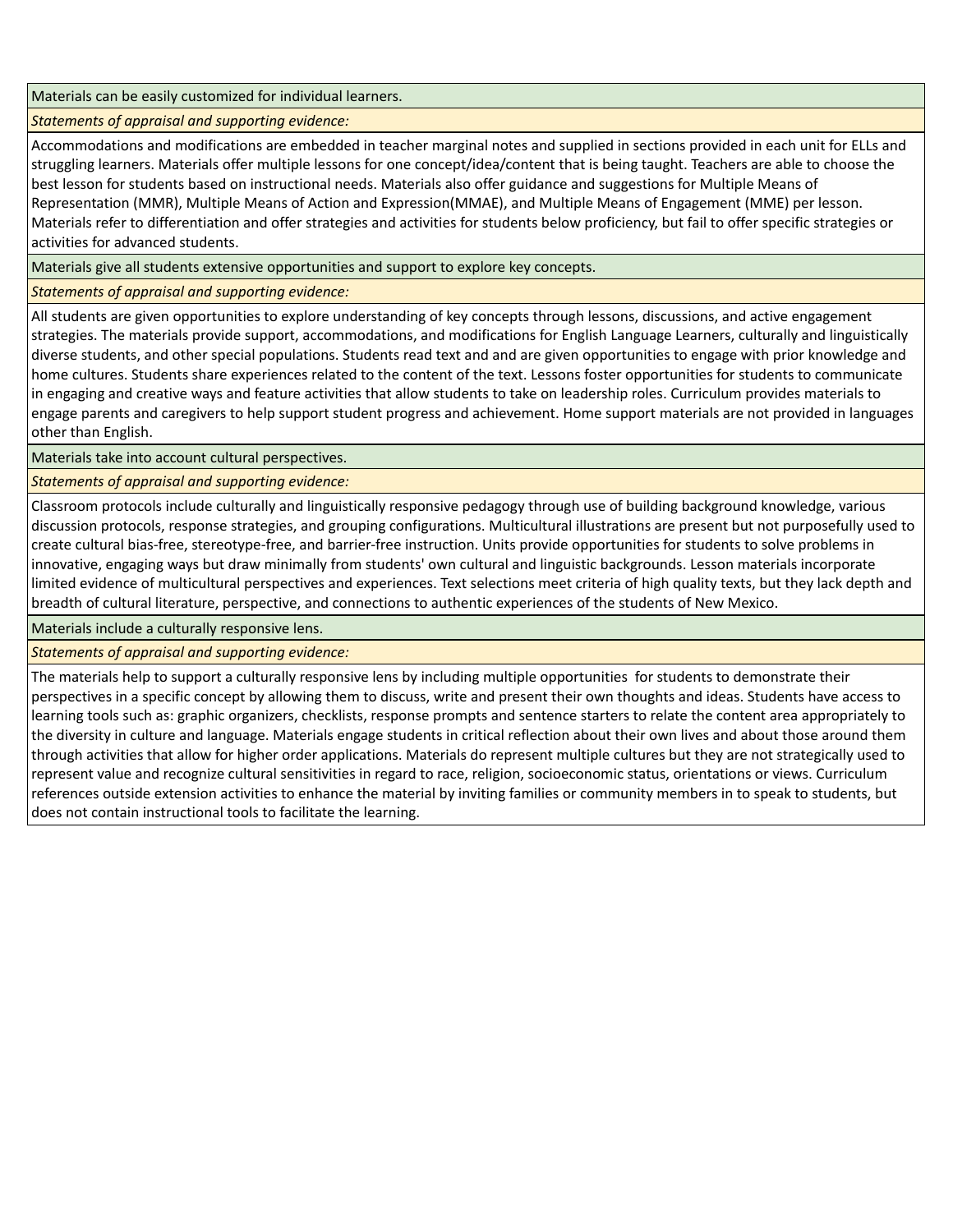Materials can be easily customized for individual learners.

*Statements of appraisal and supporting evidence:* 

Accommodations and modifications are embedded in teacher marginal notes and supplied in sections provided in each unit for ELLs and struggling learners. Materials offer multiple lessons for one concept/idea/content that is being taught. Teachers are able to choose the best lesson for students based on instructional needs. Materials also offer guidance and suggestions for Multiple Means of Representation (MMR), Multiple Means of Action and Expression(MMAE), and Multiple Means of Engagement (MME) per lesson. Materials refer to differentiation and offer strategies and activities for students below proficiency, but fail to offer specific strategies or activities for advanced students.

Materials give all students extensive opportunities and support to explore key concepts.

*Statements of appraisal and supporting evidence:*

All students are given opportunities to explore understanding of key concepts through lessons, discussions, and active engagement strategies. The materials provide support, accommodations, and modifications for English Language Learners, culturally and linguistically diverse students, and other special populations. Students read text and and are given opportunities to engage with prior knowledge and home cultures. Students share experiences related to the content of the text. Lessons foster opportunities for students to communicate in engaging and creative ways and feature activities that allow students to take on leadership roles. Curriculum provides materials to engage parents and caregivers to help support student progress and achievement. Home support materials are not provided in languages other than English.

Materials take into account cultural perspectives.

*Statements of appraisal and supporting evidence:*

Classroom protocols include culturally and linguistically responsive pedagogy through use of building background knowledge, various discussion protocols, response strategies, and grouping configurations. Multicultural illustrations are present but not purposefully used to create cultural bias-free, stereotype-free, and barrier-free instruction. Units provide opportunities for students to solve problems in innovative, engaging ways but draw minimally from students' own cultural and linguistic backgrounds. Lesson materials incorporate limited evidence of multicultural perspectives and experiences. Text selections meet criteria of high quality texts, but they lack depth and breadth of cultural literature, perspective, and connections to authentic experiences of the students of New Mexico.

Materials include a culturally responsive lens.

*Statements of appraisal and supporting evidence:*

The materials help to support a culturally responsive lens by including multiple opportunities for students to demonstrate their perspectives in a specific concept by allowing them to discuss, write and present their own thoughts and ideas. Students have access to learning tools such as: graphic organizers, checklists, response prompts and sentence starters to relate the content area appropriately to the diversity in culture and language. Materials engage students in critical reflection about their own lives and about those around them through activities that allow for higher order applications. Materials do represent multiple cultures but they are not strategically used to represent value and recognize cultural sensitivities in regard to race, religion, socioeconomic status, orientations or views. Curriculum references outside extension activities to enhance the material by inviting families or community members in to speak to students, but does not contain instructional tools to facilitate the learning.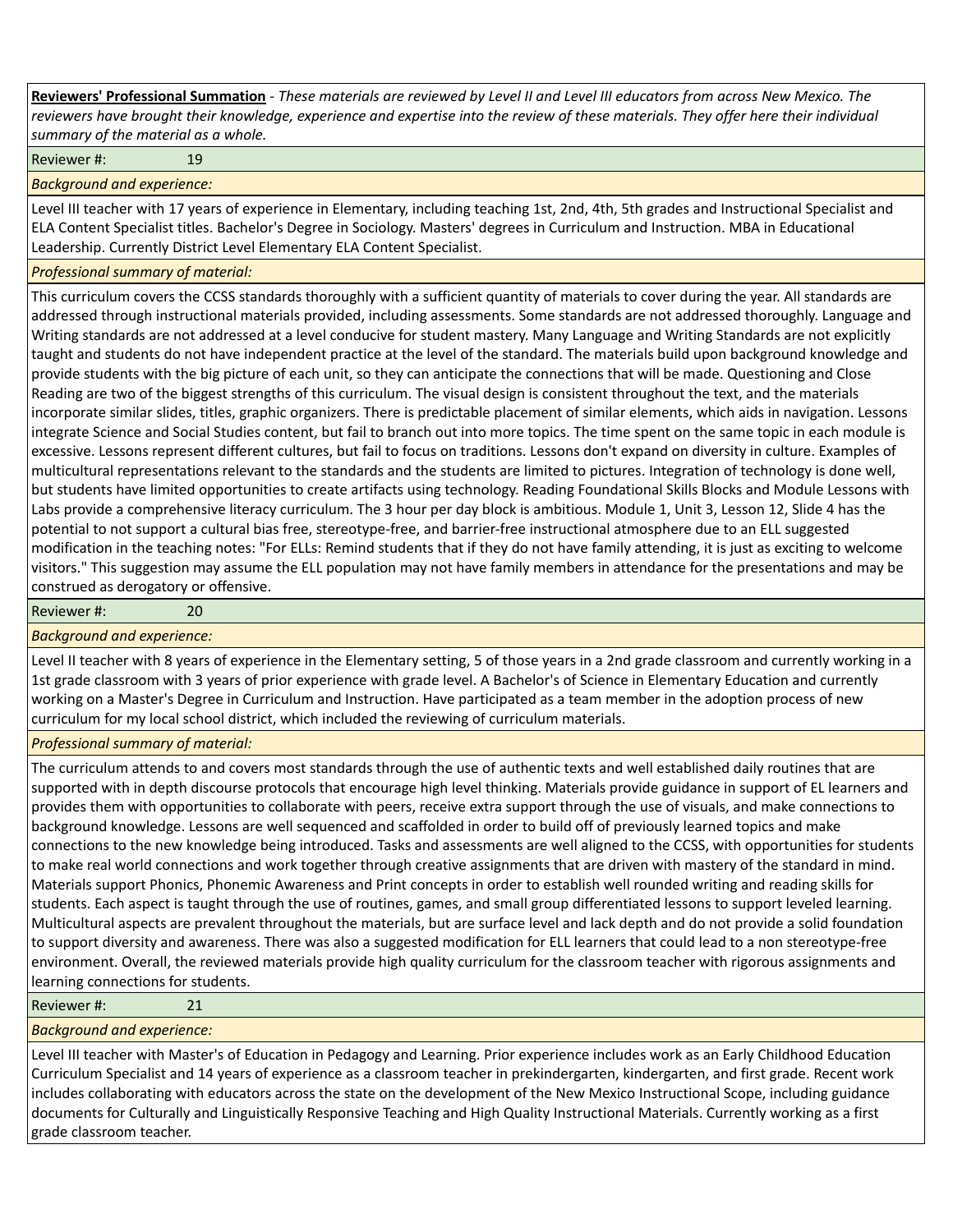**Reviewers' Professional Summation** *- These materials are reviewed by Level II and Level III educators from across New Mexico. The reviewers have brought their knowledge, experience and expertise into the review of these materials. They offer here their individual summary of the material as a whole.*

Reviewer #: 19

*Background and experience:*

Level III teacher with 17 years of experience in Elementary, including teaching 1st, 2nd, 4th, 5th grades and Instructional Specialist and ELA Content Specialist titles. Bachelor's Degree in Sociology. Masters' degrees in Curriculum and Instruction. MBA in Educational Leadership. Currently District Level Elementary ELA Content Specialist.

*Professional summary of material:*

This curriculum covers the CCSS standards thoroughly with a sufficient quantity of materials to cover during the year. All standards are addressed through instructional materials provided, including assessments. Some standards are not addressed thoroughly. Language and Writing standards are not addressed at a level conducive for student mastery. Many Language and Writing Standards are not explicitly taught and students do not have independent practice at the level of the standard. The materials build upon background knowledge and provide students with the big picture of each unit, so they can anticipate the connections that will be made. Questioning and Close Reading are two of the biggest strengths of this curriculum. The visual design is consistent throughout the text, and the materials incorporate similar slides, titles, graphic organizers. There is predictable placement of similar elements, which aids in navigation. Lessons integrate Science and Social Studies content, but fail to branch out into more topics. The time spent on the same topic in each module is excessive. Lessons represent different cultures, but fail to focus on traditions. Lessons don't expand on diversity in culture. Examples of multicultural representations relevant to the standards and the students are limited to pictures. Integration of technology is done well, but students have limited opportunities to create artifacts using technology. Reading Foundational Skills Blocks and Module Lessons with Labs provide a comprehensive literacy curriculum. The 3 hour per day block is ambitious. Module 1, Unit 3, Lesson 12, Slide 4 has the potential to not support a cultural bias free, stereotype-free, and barrier-free instructional atmosphere due to an ELL suggested modification in the teaching notes: "For ELLs: Remind students that if they do not have family attending, it is just as exciting to welcome visitors." This suggestion may assume the ELL population may not have family members in attendance for the presentations and may be construed as derogatory or offensive.

Reviewer #: 20

*Background and experience:*

Level II teacher with 8 years of experience in the Elementary setting, 5 of those years in a 2nd grade classroom and currently working in a 1st grade classroom with 3 years of prior experience with grade level. A Bachelor's of Science in Elementary Education and currently working on a Master's Degree in Curriculum and Instruction. Have participated as a team member in the adoption process of new curriculum for my local school district, which included the reviewing of curriculum materials.

*Professional summary of material:*

The curriculum attends to and covers most standards through the use of authentic texts and well established daily routines that are supported with in depth discourse protocols that encourage high level thinking. Materials provide guidance in support of EL learners and provides them with opportunities to collaborate with peers, receive extra support through the use of visuals, and make connections to background knowledge. Lessons are well sequenced and scaffolded in order to build off of previously learned topics and make connections to the new knowledge being introduced. Tasks and assessments are well aligned to the CCSS, with opportunities for students to make real world connections and work together through creative assignments that are driven with mastery of the standard in mind. Materials support Phonics, Phonemic Awareness and Print concepts in order to establish well rounded writing and reading skills for students. Each aspect is taught through the use of routines, games, and small group differentiated lessons to support leveled learning. Multicultural aspects are prevalent throughout the materials, but are surface level and lack depth and do not provide a solid foundation to support diversity and awareness. There was also a suggested modification for ELL learners that could lead to a non stereotype-free environment. Overall, the reviewed materials provide high quality curriculum for the classroom teacher with rigorous assignments and learning connections for students.

Reviewer #: 21

*Background and experience:*

Level III teacher with Master's of Education in Pedagogy and Learning. Prior experience includes work as an Early Childhood Education Curriculum Specialist and 14 years of experience as a classroom teacher in prekindergarten, kindergarten, and first grade. Recent work includes collaborating with educators across the state on the development of the New Mexico Instructional Scope, including guidance documents for Culturally and Linguistically Responsive Teaching and High Quality Instructional Materials. Currently working as a first grade classroom teacher.